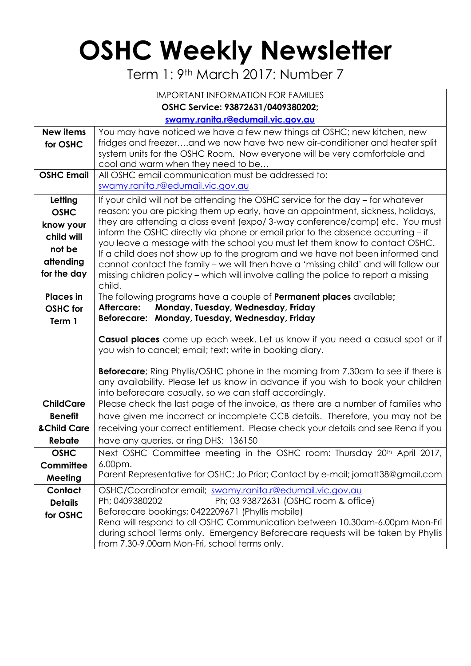## **OSHC Weekly Newsletter**

Term 1: 9th March 2017: Number 7

| <b>IMPORTANT INFORMATION FOR FAMILIES</b> |                                                                                                                                                                |  |  |  |  |
|-------------------------------------------|----------------------------------------------------------------------------------------------------------------------------------------------------------------|--|--|--|--|
| OSHC Service: 93872631/0409380202;        |                                                                                                                                                                |  |  |  |  |
|                                           | swamy.ranita.r@edumail.vic.gov.au                                                                                                                              |  |  |  |  |
| <b>New items</b>                          | You may have noticed we have a few new things at OSHC; new kitchen, new                                                                                        |  |  |  |  |
| for OSHC                                  | fridges and freezerand we now have two new air-conditioner and heater split                                                                                    |  |  |  |  |
|                                           | system units for the OSHC Room. Now everyone will be very comfortable and                                                                                      |  |  |  |  |
|                                           | cool and warm when they need to be                                                                                                                             |  |  |  |  |
| <b>OSHC Email</b>                         | All OSHC email communication must be addressed to:<br>swamy.ranita.r@edumail.vic.gov.au                                                                        |  |  |  |  |
|                                           |                                                                                                                                                                |  |  |  |  |
| Letting                                   | If your child will not be attending the OSHC service for the day – for whatever                                                                                |  |  |  |  |
| <b>OSHC</b>                               | reason; you are picking them up early, have an appointment, sickness, holidays,                                                                                |  |  |  |  |
| know your                                 | they are attending a class event (expo/3-way conference/camp) etc. You must<br>inform the OSHC directly via phone or email prior to the absence occurring - if |  |  |  |  |
| child will                                | you leave a message with the school you must let them know to contact OSHC.                                                                                    |  |  |  |  |
| not be                                    | If a child does not show up to the program and we have not been informed and                                                                                   |  |  |  |  |
| attending                                 | cannot contact the family - we will then have a 'missing child' and will follow our                                                                            |  |  |  |  |
| for the day                               | missing children policy - which will involve calling the police to report a missing                                                                            |  |  |  |  |
|                                           | child.                                                                                                                                                         |  |  |  |  |
| <b>Places</b> in                          | The following programs have a couple of <b>Permanent places</b> available;                                                                                     |  |  |  |  |
| <b>OSHC</b> for                           | Monday, Tuesday, Wednesday, Friday<br>Aftercare:                                                                                                               |  |  |  |  |
| Term 1                                    | Beforecare: Monday, Tuesday, Wednesday, Friday                                                                                                                 |  |  |  |  |
|                                           | Casual places come up each week. Let us know if you need a casual spot or if                                                                                   |  |  |  |  |
|                                           | you wish to cancel; email; text; write in booking diary.                                                                                                       |  |  |  |  |
|                                           |                                                                                                                                                                |  |  |  |  |
|                                           | <b>Beforecare</b> ; Ring Phyllis/OSHC phone in the morning from 7.30am to see if there is                                                                      |  |  |  |  |
|                                           | any availability. Please let us know in advance if you wish to book your children<br>into beforecare casually, so we can staff accordingly.                    |  |  |  |  |
| <b>ChildCare</b>                          | Please check the last page of the invoice, as there are a number of families who                                                                               |  |  |  |  |
| <b>Benefit</b>                            | have given me incorrect or incomplete CCB details. Therefore, you may not be                                                                                   |  |  |  |  |
| <b>&amp;Child Care</b>                    | receiving your correct entitlement. Please check your details and see Rena if you                                                                              |  |  |  |  |
| Rebate                                    | have any queries, or ring DHS: 136150                                                                                                                          |  |  |  |  |
| <b>OSHC</b>                               | Next OSHC Committee meeting in the OSHC room: Thursday 20 <sup>th</sup> April 2017,                                                                            |  |  |  |  |
| Committee                                 | $6.00pm$ .                                                                                                                                                     |  |  |  |  |
| Meeting                                   | Parent Representative for OSHC; Jo Prior; Contact by e-mail; jomatt38@gmail.com                                                                                |  |  |  |  |
| Contact                                   | OSHC/Coordinator email; swamy.ranita.r@edumail.vic.gov.au                                                                                                      |  |  |  |  |
| <b>Details</b>                            | Ph; 0409380202<br>Ph; 03 93872631 (OSHC room & office)                                                                                                         |  |  |  |  |
| for OSHC                                  | Beforecare bookings; 0422209671 (Phyllis mobile)                                                                                                               |  |  |  |  |
|                                           | Rena will respond to all OSHC Communication between 10.30am-6.00pm Mon-Fri                                                                                     |  |  |  |  |
|                                           | during school Terms only. Emergency Beforecare requests will be taken by Phyllis                                                                               |  |  |  |  |
|                                           | from 7.30-9.00am Mon-Fri, school terms only.                                                                                                                   |  |  |  |  |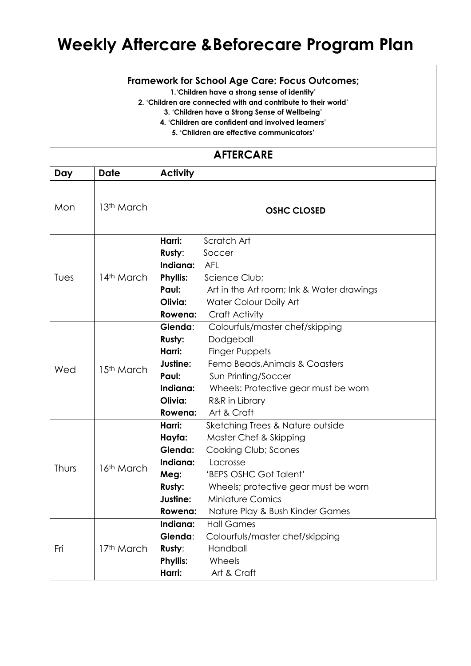## **Weekly Aftercare &Beforecare Program Plan**

## **Framework for School Age Care: Focus Outcomes;**

**1.'Children have a strong sense of identity'**

**2. 'Children are connected with and contribute to their world'**

**3. 'Children have a Strong Sense of Wellbeing'**

**4. 'Children are confident and involved learners'**

**5. 'Children are effective communicators'**

## **AFTERCARE**

| Day   | Date                   | <b>Activity</b>                                                                           |                                                                                                                                                                                                                                |
|-------|------------------------|-------------------------------------------------------------------------------------------|--------------------------------------------------------------------------------------------------------------------------------------------------------------------------------------------------------------------------------|
| Mon   | 13 <sup>th</sup> March |                                                                                           | <b>OSHC CLOSED</b>                                                                                                                                                                                                             |
| Tues  | 14th March             | Harri:<br>Rusty:<br>Indiana:<br><b>Phyllis:</b><br>Paul:<br>Olivia:<br>Rowena:            | Scratch Art<br>Soccer<br><b>AFL</b><br>Science Club;<br>Art in the Art room; Ink & Water drawings<br>Water Colour Doily Art<br><b>Craft Activity</b>                                                                           |
| Wed   | 15 <sup>th</sup> March | Glenda:<br><b>Rusty:</b><br>Harri:<br>Justine:<br>Paul:<br>Indiana:<br>Olivia:<br>Rowena: | Colourfuls/master chef/skipping<br>Dodgeball<br><b>Finger Puppets</b><br>Femo Beads, Animals & Coasters<br>Sun Printing/Soccer<br>Wheels: Protective gear must be worn<br>R&R in Library<br>Art & Craft                        |
| Thurs | 16 <sup>th</sup> March | Harri:<br>Hayfa:<br>Glenda:<br>Indiana:<br>Meg:<br>Rusty:<br>Justine:<br>Rowena:          | Sketching Trees & Nature outside<br>Master Chef & Skipping<br>Cooking Club; Scones<br>Lacrosse<br>'BEPS OSHC Got Talent'<br>Wheels; protective gear must be worn<br><b>Miniature Comics</b><br>Nature Play & Bush Kinder Games |
| Fri   | 17th March             | Indiana:<br>Glenda:<br>Rusty:<br><b>Phyllis:</b><br>Harri:                                | <b>Hall Games</b><br>Colourfuls/master chef/skipping<br>Handball<br>Wheels<br>Art & Craft                                                                                                                                      |